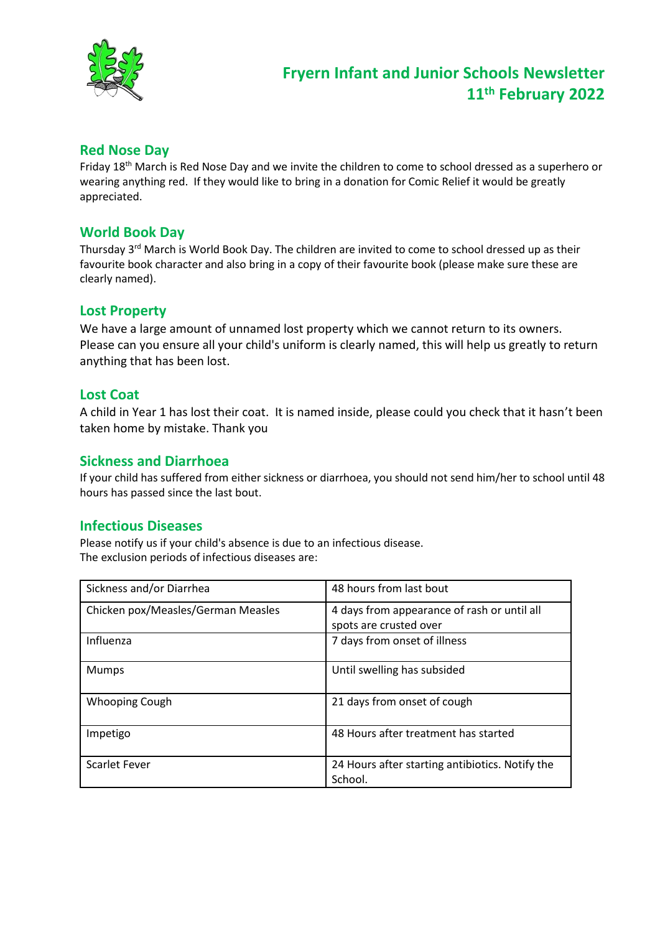

## **Red Nose Day**

Friday 18th March is Red Nose Day and we invite the children to come to school dressed as a superhero or wearing anything red. If they would like to bring in a donation for Comic Relief it would be greatly appreciated.

## **World Book Day**

Thursday 3<sup>rd</sup> March is World Book Day. The children are invited to come to school dressed up as their favourite book character and also bring in a copy of their favourite book (please make sure these are clearly named).

## **Lost Property**

We have a large amount of unnamed lost property which we cannot return to its owners. Please can you ensure all your child's uniform is clearly named, this will help us greatly to return anything that has been lost.

#### **Lost Coat**

A child in Year 1 has lost their coat. It is named inside, please could you check that it hasn't been taken home by mistake. Thank you

## **Sickness and Diarrhoea**

If your child has suffered from either sickness or diarrhoea, you should not send him/her to school until 48 hours has passed since the last bout.

#### **Infectious Diseases**

Please notify us if your child's absence is due to an infectious disease. The exclusion periods of infectious diseases are:

| Sickness and/or Diarrhea           | 48 hours from last bout                                               |
|------------------------------------|-----------------------------------------------------------------------|
| Chicken pox/Measles/German Measles | 4 days from appearance of rash or until all<br>spots are crusted over |
| Influenza                          | 7 days from onset of illness                                          |
| <b>Mumps</b>                       | Until swelling has subsided                                           |
| <b>Whooping Cough</b>              | 21 days from onset of cough                                           |
| Impetigo                           | 48 Hours after treatment has started                                  |
| <b>Scarlet Fever</b>               | 24 Hours after starting antibiotics. Notify the<br>School.            |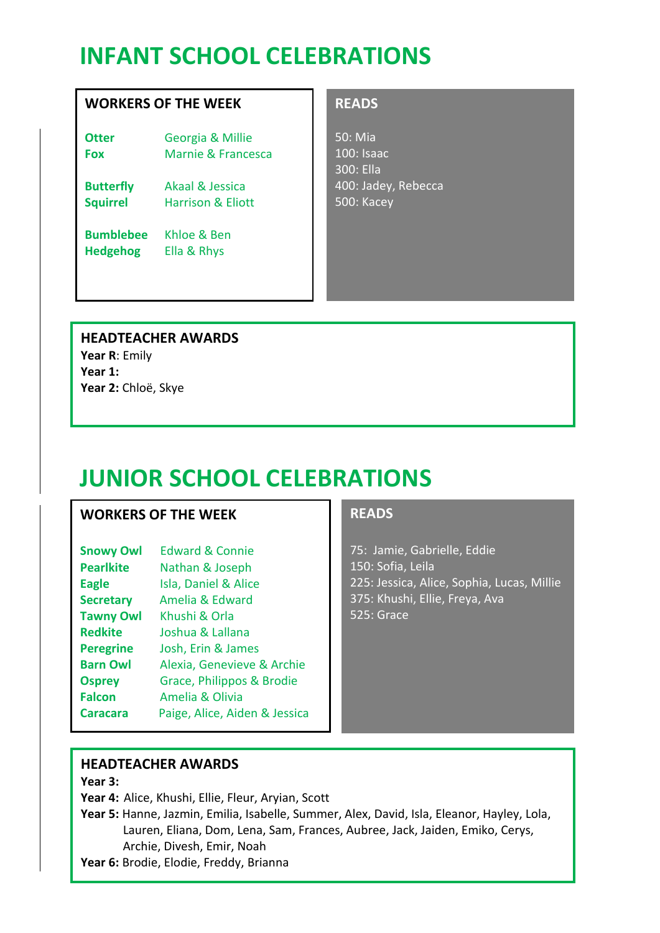## **INFANT SCHOOL CELEBRATIONS**

## **WORKERS OF THE WEEK**

**Otter** Georgia & Millie **Fox** Marnie & Francesca

**Butterfly** Akaal & Jessica **Squirrel** Harrison & Eliott

**Bumblebee** Khloe & Ben **Hedgehog** Ella & Rhys

## **READS**

50: Mia 100: Isaac 300: Ella 400: Jadey, Rebecca 500: Kacey

**HEADTEACHER AWARDS Year R**: Emily **Year 1: Year 2:** Chloë, Skye

# **JUNIOR SCHOOL CELEBRATIONS**

## **WORKERS OF THE WEEK**

| <b>Edward &amp; Connie</b>    |
|-------------------------------|
| Nathan & Joseph               |
| Isla, Daniel & Alice          |
| Amelia & Edward               |
| Khushi & Orla                 |
| Joshua & Lallana              |
| Josh, Erin & James            |
| Alexia, Genevieve & Archie    |
| Grace, Philippos & Brodie     |
| Amelia & Olivia               |
| Paige, Alice, Aiden & Jessica |
|                               |

## **READS**

75: Jamie, Gabrielle, Eddie 150: Sofia, Leila 225: Jessica, Alice, Sophia, Lucas, Millie 375: Khushi, Ellie, Freya, Ava 525: Grace

## **HEADTEACHER AWARDS**

**Year 3:** 

**Year 4:** Alice, Khushi, Ellie, Fleur, Aryian, Scott

**Year 5:** Hanne, Jazmin, Emilia, Isabelle, Summer, Alex, David, Isla, Eleanor, Hayley, Lola, Lauren, Eliana, Dom, Lena, Sam, Frances, Aubree, Jack, Jaiden, Emiko, Cerys, Archie, Divesh, Emir, Noah

**Year 6:** Brodie, Elodie, Freddy, Brianna